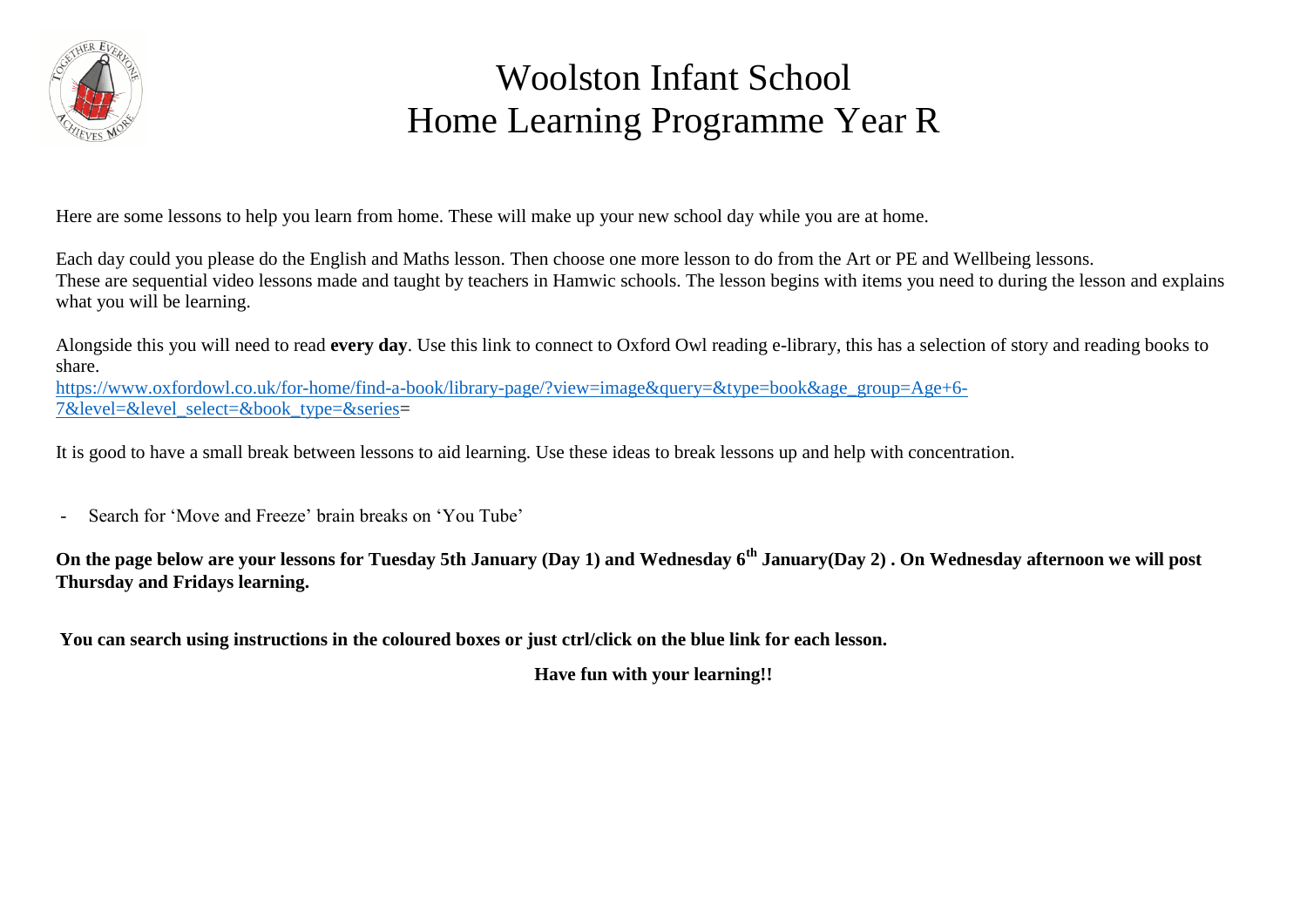

## Woolston Infant School Home Learning Programme Year R

Here are some lessons to help you learn from home. These will make up your new school day while you are at home.

Each day could you please do the English and Maths lesson. Then choose one more lesson to do from the Art or PE and Wellbeing lessons. These are sequential video lessons made and taught by teachers in Hamwic schools. The lesson begins with items you need to during the lesson and explains what you will be learning.

Alongside this you will need to read **every day**. Use this link to connect to Oxford Owl reading e-library, this has a selection of story and reading books to share.

[https://www.oxfordowl.co.uk/for-home/find-a-book/library-page/?view=image&query=&type=book&age\\_group=Age+6-](https://www.oxfordowl.co.uk/for-home/find-a-book/library-page/?view=image&query=&type=book&age_group=Age+6-7&level=&level_select=&book_type=&series) [7&level=&level\\_select=&book\\_type=&series=](https://www.oxfordowl.co.uk/for-home/find-a-book/library-page/?view=image&query=&type=book&age_group=Age+6-7&level=&level_select=&book_type=&series)

It is good to have a small break between lessons to aid learning. Use these ideas to break lessons up and help with concentration.

- Search for 'Move and Freeze' brain breaks on 'You Tube'

**On the page below are your lessons for Tuesday 5th January (Day 1) and Wednesday 6th January(Day 2) . On Wednesday afternoon we will post Thursday and Fridays learning.**

**You can search using instructions in the coloured boxes or just ctrl/click on the blue link for each lesson.**

**Have fun with your learning!!**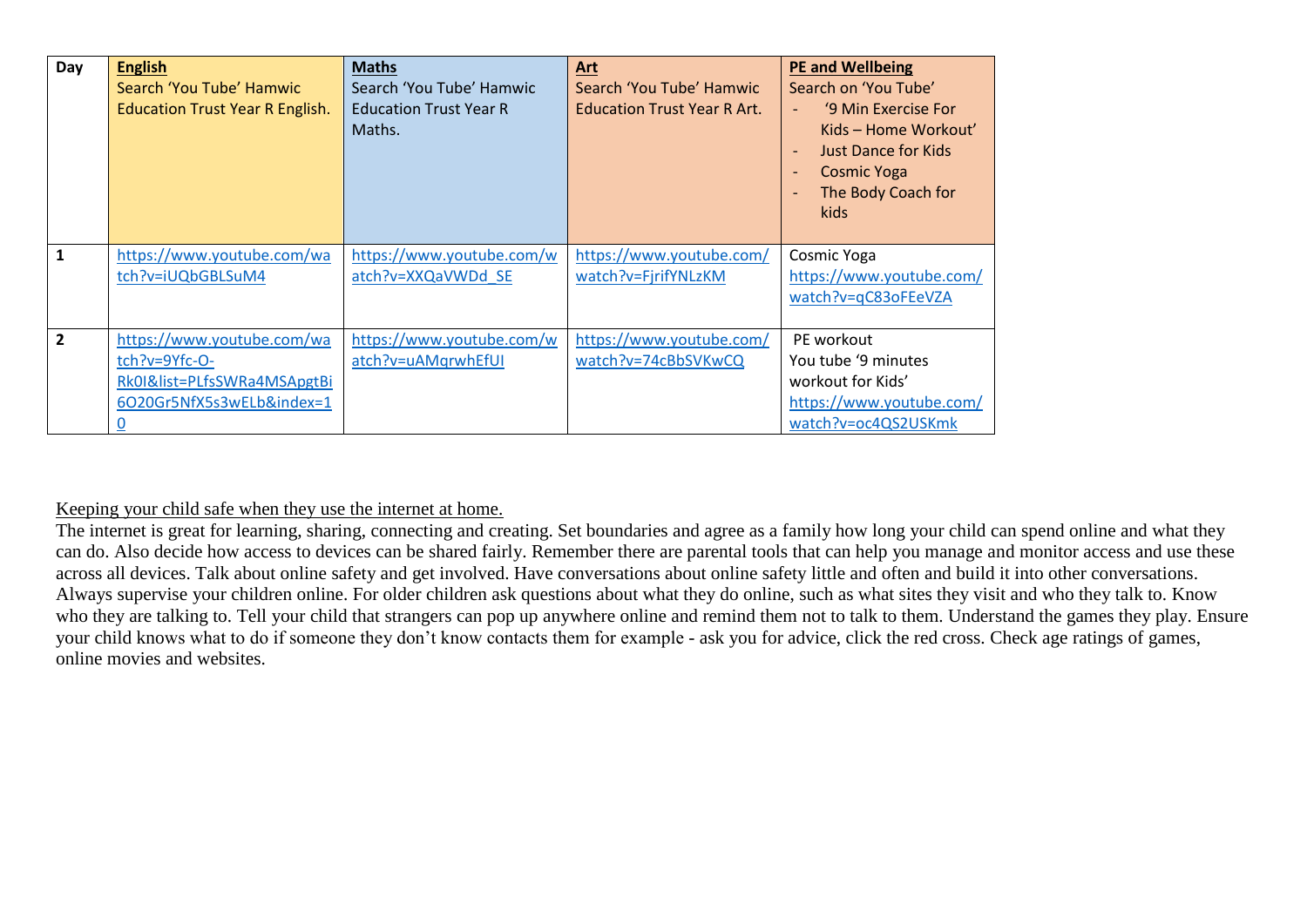| Day            | <b>English</b><br>Search 'You Tube' Hamwic<br><b>Education Trust Year R English.</b>                    | <b>Maths</b><br>Search 'You Tube' Hamwic<br><b>Education Trust Year R</b><br>Maths. | Art<br>Search 'You Tube' Hamwic<br><b>Education Trust Year R Art.</b> | <b>PE and Wellbeing</b><br>Search on 'You Tube'<br>'9 Min Exercise For<br>Kids – Home Workout'<br><b>Just Dance for Kids</b><br><b>Cosmic Yoga</b><br>The Body Coach for<br>kids |
|----------------|---------------------------------------------------------------------------------------------------------|-------------------------------------------------------------------------------------|-----------------------------------------------------------------------|----------------------------------------------------------------------------------------------------------------------------------------------------------------------------------|
| 1              | https://www.youtube.com/wa<br>tch?v=iUQbGBLSuM4                                                         | https://www.youtube.com/w<br>atch?v=XXQaVWDd SE                                     | https://www.youtube.com/<br>watch?v=FjrifYNLzKM                       | Cosmic Yoga<br>https://www.youtube.com/<br>watch?v=qC83oFEeVZA                                                                                                                   |
| $\overline{2}$ | https://www.youtube.com/wa<br>tch?v=9Yfc-O-<br>Rk0I&list=PLfsSWRa4MSApgtBi<br>6O20Gr5NfX5s3wELb&index=1 | https://www.youtube.com/w<br>atch?v=uAMqrwhEfUI                                     | https://www.youtube.com/<br>watch?v=74cBbSVKwCQ                       | PE workout<br>You tube '9 minutes<br>workout for Kids'<br>https://www.youtube.com/<br>watch?v=oc4QS2USKmk                                                                        |

Keeping your child safe when they use the internet at home.

The internet is great for learning, sharing, connecting and creating. Set boundaries and agree as a family how long your child can spend online and what they can do. Also decide how access to devices can be shared fairly. Remember there are parental tools that can help you manage and monitor access and use these across all devices. Talk about online safety and get involved. Have conversations about online safety little and often and build it into other conversations. Always supervise your children online. For older children ask questions about what they do online, such as what sites they visit and who they talk to. Know who they are talking to. Tell your child that strangers can pop up anywhere online and remind them not to talk to them. Understand the games they play. Ensure your child knows what to do if someone they don't know contacts them for example - ask you for advice, click the red cross. Check age ratings of games, online movies and websites.